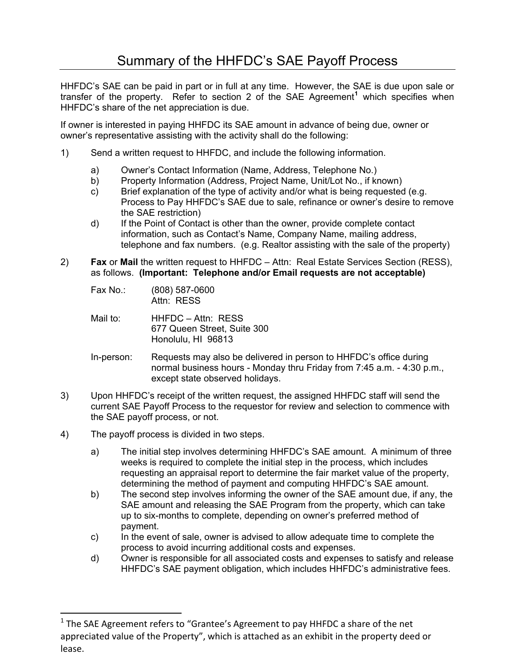HHFDC's SAE can be paid in part or in full at any time. However, the SAE is due upon sale or transfer of the property. Refer to section 2 of the SAE Agreement**[1](#page-0-0)** which specifies when HHFDC's share of the net appreciation is due.

If owner is interested in paying HHFDC its SAE amount in advance of being due, owner or owner's representative assisting with the activity shall do the following:

- 1) Send a written request to HHFDC, and include the following information.
	- a) Owner's Contact Information (Name, Address, Telephone No.)
	- b) Property Information (Address, Project Name, Unit/Lot No., if known)
	- c) Brief explanation of the type of activity and/or what is being requested (e.g. Process to Pay HHFDC's SAE due to sale, refinance or owner's desire to remove the SAE restriction)
	- d) If the Point of Contact is other than the owner, provide complete contact information, such as Contact's Name, Company Name, mailing address, telephone and fax numbers. (e.g. Realtor assisting with the sale of the property)
- 2) **Fax** or **Mail** the written request to HHFDC Attn: Real Estate Services Section (RESS), as follows. **(Important: Telephone and/or Email requests are not acceptable)**
	- Fax No.: (808) 587-0600 Attn: RESS
	- Mail to: HHFDC Attn: RESS 677 Queen Street, Suite 300 Honolulu, HI 96813
	- In-person: Requests may also be delivered in person to HHFDC's office during normal business hours - Monday thru Friday from 7:45 a.m. - 4:30 p.m., except state observed holidays.
- 3) Upon HHFDC's receipt of the written request, the assigned HHFDC staff will send the current SAE Payoff Process to the requestor for review and selection to commence with the SAE payoff process, or not.
- 4) The payoff process is divided in two steps.

!!!!!!!!!!!!!!!!!!!!!!!!!!!!!!!!!!!!!!!!!!!!!!!!!!!!!!!!!!!

- a) The initial step involves determining HHFDC's SAE amount. A minimum of three weeks is required to complete the initial step in the process, which includes requesting an appraisal report to determine the fair market value of the property, determining the method of payment and computing HHFDC's SAE amount.
- b) The second step involves informing the owner of the SAE amount due, if any, the SAE amount and releasing the SAE Program from the property, which can take up to six-months to complete, depending on owner's preferred method of payment.
- c) In the event of sale, owner is advised to allow adequate time to complete the process to avoid incurring additional costs and expenses.
- d) Owner is responsible for all associated costs and expenses to satisfy and release HHFDC's SAE payment obligation, which includes HHFDC's administrative fees.

<span id="page-0-0"></span> $1$  The SAE Agreement refers to "Grantee's Agreement to pay HHFDC a share of the net appreciated value of the Property", which is attached as an exhibit in the property deed or lease.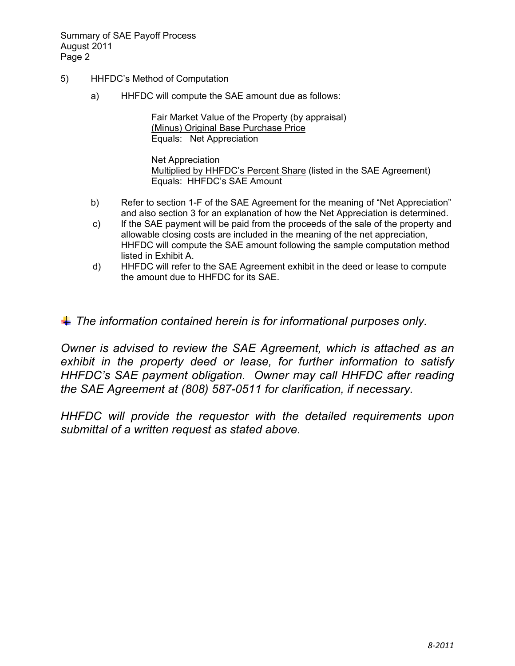Summary of SAE Payoff Process August 2011 Page 2

- 5) HHFDC's Method of Computation
	- a) HHFDC will compute the SAE amount due as follows:

Fair Market Value of the Property (by appraisal) (Minus) Original Base Purchase Price Equals: Net Appreciation

Net Appreciation Multiplied by HHFDC's Percent Share (listed in the SAE Agreement) Equals: HHFDC's SAE Amount

- b) Refer to section 1-F of the SAE Agreement for the meaning of "Net Appreciation" and also section 3 for an explanation of how the Net Appreciation is determined.
- c) If the SAE payment will be paid from the proceeds of the sale of the property and allowable closing costs are included in the meaning of the net appreciation, HHFDC will compute the SAE amount following the sample computation method listed in Exhibit A.
- d) HHFDC will refer to the SAE Agreement exhibit in the deed or lease to compute the amount due to HHFDC for its SAE.

*The information contained herein is for informational purposes only.* 

*Owner is advised to review the SAE Agreement, which is attached as an exhibit in the property deed or lease, for further information to satisfy HHFDC's SAE payment obligation. Owner may call HHFDC after reading the SAE Agreement at (808) 587-0511 for clarification, if necessary.* 

*HHFDC will provide the requestor with the detailed requirements upon submittal of a written request as stated above.*